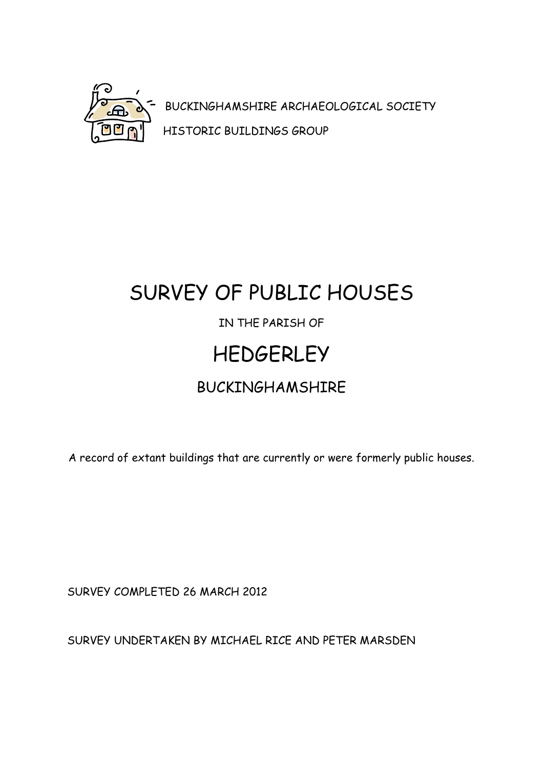

BUCKINGHAMSHIRE ARCHAEOLOGICAL SOCIETY HISTORIC BUILDINGS GROUP

# SURVEY OF PUBLIC HOUSES IN THE PARISH OF **HEDGERLEY** BUCKINGHAMSHIRE

A record of extant buildings that are currently or were formerly public houses.

SURVEY COMPLETED 26 MARCH 2012

SURVEY UNDERTAKEN BY MICHAEL RICE AND PETER MARSDEN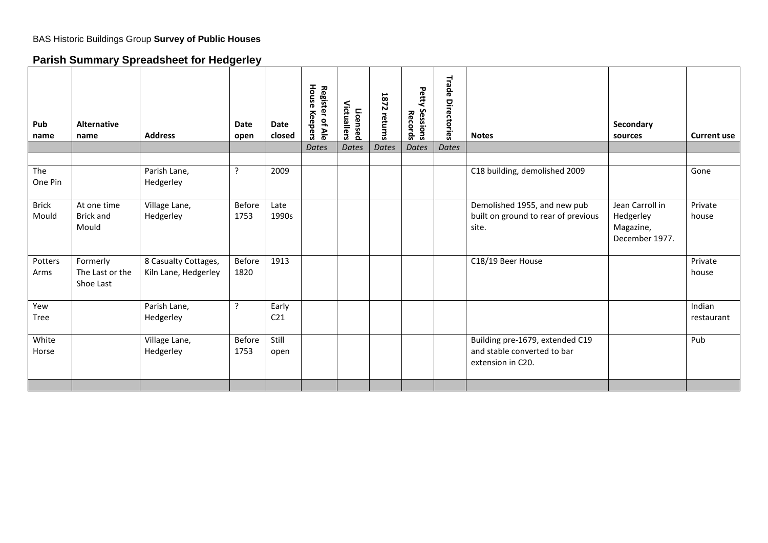## **Parish Summary Spreadsheet for Hedgerley**

| Pub<br>name           | <b>Alternative</b><br>name               | <b>Address</b>                               | <b>Date</b><br>open | Date<br>closed           | House Keepers<br>Register of Ale<br>Dates | Victuallers<br>Licensed<br>Dates | <b>1872</b><br>returns<br><b>Dates</b> | Petty<br>Sessions<br>Records<br><b>Dates</b> | <b>Trade Directories</b><br><b>Dates</b> | <b>Notes</b>                                                                        | Secondary<br>sources                                        | <b>Current use</b>   |
|-----------------------|------------------------------------------|----------------------------------------------|---------------------|--------------------------|-------------------------------------------|----------------------------------|----------------------------------------|----------------------------------------------|------------------------------------------|-------------------------------------------------------------------------------------|-------------------------------------------------------------|----------------------|
| The<br>One Pin        |                                          | Parish Lane,<br>Hedgerley                    | $\cdot$             | 2009                     |                                           |                                  |                                        |                                              |                                          | C18 building, demolished 2009                                                       |                                                             | Gone                 |
| <b>Brick</b><br>Mould | At one time<br><b>Brick and</b><br>Mould | Village Lane,<br>Hedgerley                   | Before<br>1753      | Late<br>1990s            |                                           |                                  |                                        |                                              |                                          | Demolished 1955, and new pub<br>built on ground to rear of previous<br>site.        | Jean Carroll in<br>Hedgerley<br>Magazine,<br>December 1977. | Private<br>house     |
| Potters<br>Arms       | Formerly<br>The Last or the<br>Shoe Last | 8 Casualty Cottages,<br>Kiln Lane, Hedgerley | Before<br>1820      | 1913                     |                                           |                                  |                                        |                                              |                                          | C18/19 Beer House                                                                   |                                                             | Private<br>house     |
| Yew<br><b>Tree</b>    |                                          | Parish Lane,<br>Hedgerley                    | ?                   | Early<br>C <sub>21</sub> |                                           |                                  |                                        |                                              |                                          |                                                                                     |                                                             | Indian<br>restaurant |
| White<br>Horse        |                                          | Village Lane,<br>Hedgerley                   | Before<br>1753      | Still<br>open            |                                           |                                  |                                        |                                              |                                          | Building pre-1679, extended C19<br>and stable converted to bar<br>extension in C20. |                                                             | Pub                  |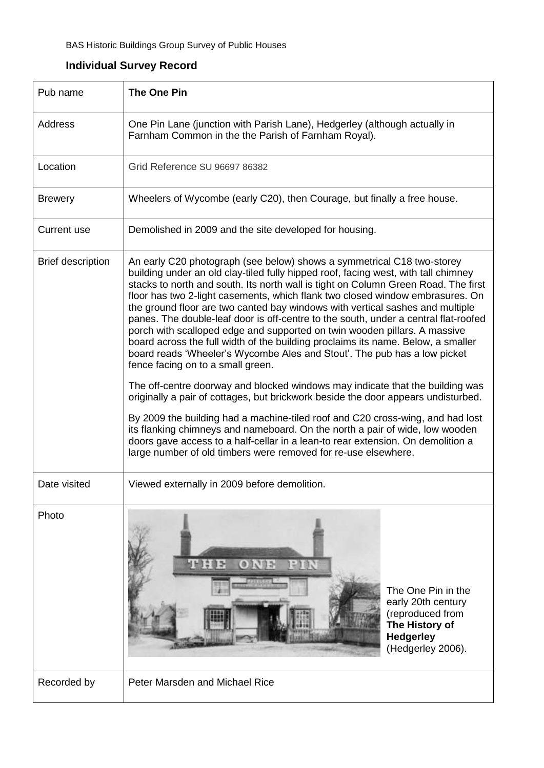| Pub name                 | <b>The One Pin</b>                                                                                                                                                                                                                                                                                                                                                                                                                                                                                                                                                                                                                                                                                                                                                                                                                                                                                                                                                                                                                                                                                                                                                                                                                                                                         |  |  |  |  |  |  |
|--------------------------|--------------------------------------------------------------------------------------------------------------------------------------------------------------------------------------------------------------------------------------------------------------------------------------------------------------------------------------------------------------------------------------------------------------------------------------------------------------------------------------------------------------------------------------------------------------------------------------------------------------------------------------------------------------------------------------------------------------------------------------------------------------------------------------------------------------------------------------------------------------------------------------------------------------------------------------------------------------------------------------------------------------------------------------------------------------------------------------------------------------------------------------------------------------------------------------------------------------------------------------------------------------------------------------------|--|--|--|--|--|--|
| Address                  | One Pin Lane (junction with Parish Lane), Hedgerley (although actually in<br>Farnham Common in the the Parish of Farnham Royal).                                                                                                                                                                                                                                                                                                                                                                                                                                                                                                                                                                                                                                                                                                                                                                                                                                                                                                                                                                                                                                                                                                                                                           |  |  |  |  |  |  |
| Location                 | Grid Reference SU 96697 86382                                                                                                                                                                                                                                                                                                                                                                                                                                                                                                                                                                                                                                                                                                                                                                                                                                                                                                                                                                                                                                                                                                                                                                                                                                                              |  |  |  |  |  |  |
| <b>Brewery</b>           | Wheelers of Wycombe (early C20), then Courage, but finally a free house.                                                                                                                                                                                                                                                                                                                                                                                                                                                                                                                                                                                                                                                                                                                                                                                                                                                                                                                                                                                                                                                                                                                                                                                                                   |  |  |  |  |  |  |
| <b>Current use</b>       | Demolished in 2009 and the site developed for housing.                                                                                                                                                                                                                                                                                                                                                                                                                                                                                                                                                                                                                                                                                                                                                                                                                                                                                                                                                                                                                                                                                                                                                                                                                                     |  |  |  |  |  |  |
| <b>Brief description</b> | An early C20 photograph (see below) shows a symmetrical C18 two-storey<br>building under an old clay-tiled fully hipped roof, facing west, with tall chimney<br>stacks to north and south. Its north wall is tight on Column Green Road. The first<br>floor has two 2-light casements, which flank two closed window embrasures. On<br>the ground floor are two canted bay windows with vertical sashes and multiple<br>panes. The double-leaf door is off-centre to the south, under a central flat-roofed<br>porch with scalloped edge and supported on twin wooden pillars. A massive<br>board across the full width of the building proclaims its name. Below, a smaller<br>board reads 'Wheeler's Wycombe Ales and Stout'. The pub has a low picket<br>fence facing on to a small green.<br>The off-centre doorway and blocked windows may indicate that the building was<br>originally a pair of cottages, but brickwork beside the door appears undisturbed.<br>By 2009 the building had a machine-tiled roof and C20 cross-wing, and had lost<br>its flanking chimneys and nameboard. On the north a pair of wide, low wooden<br>doors gave access to a half-cellar in a lean-to rear extension. On demolition a<br>large number of old timbers were removed for re-use elsewhere. |  |  |  |  |  |  |
| Date visited             | Viewed externally in 2009 before demolition.                                                                                                                                                                                                                                                                                                                                                                                                                                                                                                                                                                                                                                                                                                                                                                                                                                                                                                                                                                                                                                                                                                                                                                                                                                               |  |  |  |  |  |  |
| Photo                    | $1 - 1 - 1$<br>にきまい<br>01.97<br>The One Pin in the<br>early 20th century<br>(reproduced from<br>The History of<br><b>Hedgerley</b><br><b>Million</b><br>(Hedgerley 2006).                                                                                                                                                                                                                                                                                                                                                                                                                                                                                                                                                                                                                                                                                                                                                                                                                                                                                                                                                                                                                                                                                                                  |  |  |  |  |  |  |
| Recorded by              | Peter Marsden and Michael Rice                                                                                                                                                                                                                                                                                                                                                                                                                                                                                                                                                                                                                                                                                                                                                                                                                                                                                                                                                                                                                                                                                                                                                                                                                                                             |  |  |  |  |  |  |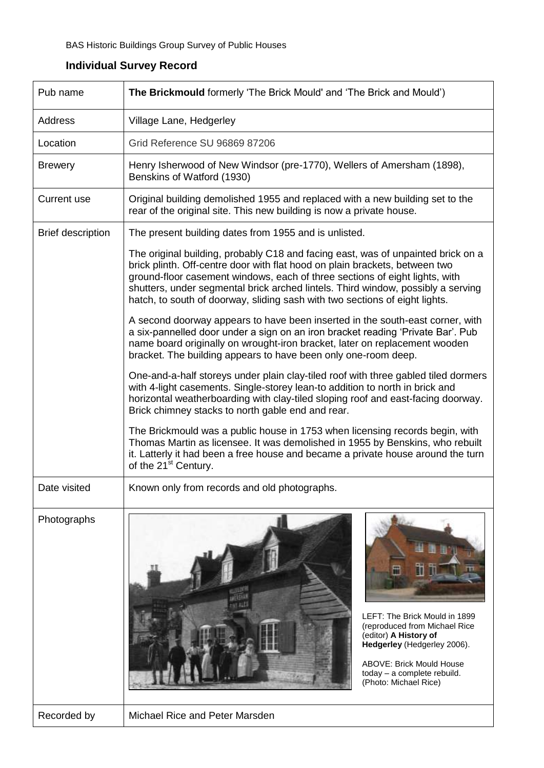| Pub name                 | The Brickmould formerly 'The Brick Mould' and 'The Brick and Mould')                                                                                                                                                                                                                                                                                                                                              |  |  |  |
|--------------------------|-------------------------------------------------------------------------------------------------------------------------------------------------------------------------------------------------------------------------------------------------------------------------------------------------------------------------------------------------------------------------------------------------------------------|--|--|--|
| Address                  | Village Lane, Hedgerley                                                                                                                                                                                                                                                                                                                                                                                           |  |  |  |
| Location                 | Grid Reference SU 96869 87206                                                                                                                                                                                                                                                                                                                                                                                     |  |  |  |
| <b>Brewery</b>           | Henry Isherwood of New Windsor (pre-1770), Wellers of Amersham (1898),<br>Benskins of Watford (1930)                                                                                                                                                                                                                                                                                                              |  |  |  |
| <b>Current use</b>       | Original building demolished 1955 and replaced with a new building set to the<br>rear of the original site. This new building is now a private house.                                                                                                                                                                                                                                                             |  |  |  |
| <b>Brief description</b> | The present building dates from 1955 and is unlisted.                                                                                                                                                                                                                                                                                                                                                             |  |  |  |
|                          | The original building, probably C18 and facing east, was of unpainted brick on a<br>brick plinth. Off-centre door with flat hood on plain brackets, between two<br>ground-floor casement windows, each of three sections of eight lights, with<br>shutters, under segmental brick arched lintels. Third window, possibly a serving<br>hatch, to south of doorway, sliding sash with two sections of eight lights. |  |  |  |
|                          | A second doorway appears to have been inserted in the south-east corner, with<br>a six-pannelled door under a sign on an iron bracket reading 'Private Bar'. Pub<br>name board originally on wrought-iron bracket, later on replacement wooden<br>bracket. The building appears to have been only one-room deep.                                                                                                  |  |  |  |
|                          | One-and-a-half storeys under plain clay-tiled roof with three gabled tiled dormers<br>with 4-light casements. Single-storey lean-to addition to north in brick and<br>horizontal weatherboarding with clay-tiled sloping roof and east-facing doorway.<br>Brick chimney stacks to north gable end and rear.                                                                                                       |  |  |  |
|                          | The Brickmould was a public house in 1753 when licensing records begin, with<br>Thomas Martin as licensee. It was demolished in 1955 by Benskins, who rebuilt<br>it. Latterly it had been a free house and became a private house around the turn<br>of the 21 <sup>st</sup> Century.                                                                                                                             |  |  |  |
| Date visited             | Known only from records and old photographs.                                                                                                                                                                                                                                                                                                                                                                      |  |  |  |
| Photographs              | LEFT: The Brick Mould in 1899<br>(reproduced from Michael Rice<br>(editor) A History of<br>Hedgerley (Hedgerley 2006).<br><b>ABOVE: Brick Mould House</b><br>today - a complete rebuild.<br>(Photo: Michael Rice)                                                                                                                                                                                                 |  |  |  |
| Recorded by              | Michael Rice and Peter Marsden                                                                                                                                                                                                                                                                                                                                                                                    |  |  |  |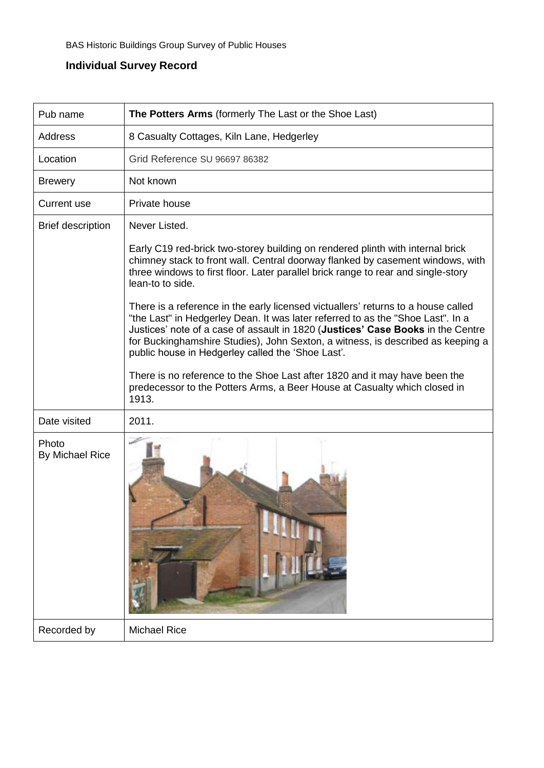| Pub name                 | The Potters Arms (formerly The Last or the Shoe Last)                                                                                                                                                                                                                                                                                                                                           |
|--------------------------|-------------------------------------------------------------------------------------------------------------------------------------------------------------------------------------------------------------------------------------------------------------------------------------------------------------------------------------------------------------------------------------------------|
| Address                  | 8 Casualty Cottages, Kiln Lane, Hedgerley                                                                                                                                                                                                                                                                                                                                                       |
| Location                 | Grid Reference SU 96697 86382                                                                                                                                                                                                                                                                                                                                                                   |
| <b>Brewery</b>           | Not known                                                                                                                                                                                                                                                                                                                                                                                       |
| Current use              | Private house                                                                                                                                                                                                                                                                                                                                                                                   |
| <b>Brief description</b> | Never Listed.<br>Early C19 red-brick two-storey building on rendered plinth with internal brick                                                                                                                                                                                                                                                                                                 |
|                          | chimney stack to front wall. Central doorway flanked by casement windows, with<br>three windows to first floor. Later parallel brick range to rear and single-story<br>lean-to to side.                                                                                                                                                                                                         |
|                          | There is a reference in the early licensed victuallers' returns to a house called<br>"the Last" in Hedgerley Dean. It was later referred to as the "Shoe Last". In a<br>Justices' note of a case of assault in 1820 (Justices' Case Books in the Centre<br>for Buckinghamshire Studies), John Sexton, a witness, is described as keeping a<br>public house in Hedgerley called the 'Shoe Last'. |
|                          | There is no reference to the Shoe Last after 1820 and it may have been the<br>predecessor to the Potters Arms, a Beer House at Casualty which closed in<br>1913.                                                                                                                                                                                                                                |
| Date visited             | 2011.                                                                                                                                                                                                                                                                                                                                                                                           |
| Photo<br>By Michael Rice |                                                                                                                                                                                                                                                                                                                                                                                                 |
| Recorded by              | <b>Michael Rice</b>                                                                                                                                                                                                                                                                                                                                                                             |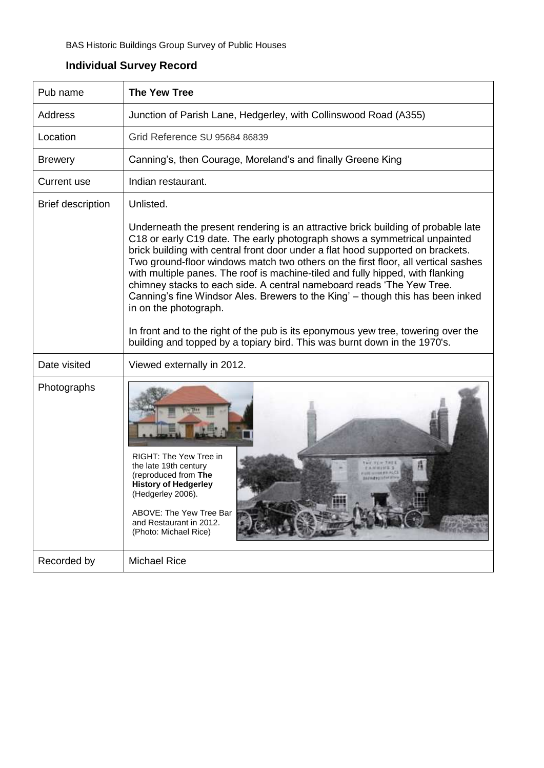| Pub name                 | <b>The Yew Tree</b>                                                                                                                                                                                                                                                                                                                                                                                                                                                                                                                                                                                                                                                                                                                                                                         |
|--------------------------|---------------------------------------------------------------------------------------------------------------------------------------------------------------------------------------------------------------------------------------------------------------------------------------------------------------------------------------------------------------------------------------------------------------------------------------------------------------------------------------------------------------------------------------------------------------------------------------------------------------------------------------------------------------------------------------------------------------------------------------------------------------------------------------------|
| Address                  | Junction of Parish Lane, Hedgerley, with Collinswood Road (A355)                                                                                                                                                                                                                                                                                                                                                                                                                                                                                                                                                                                                                                                                                                                            |
| Location                 | Grid Reference SU 95684 86839                                                                                                                                                                                                                                                                                                                                                                                                                                                                                                                                                                                                                                                                                                                                                               |
| <b>Brewery</b>           | Canning's, then Courage, Moreland's and finally Greene King                                                                                                                                                                                                                                                                                                                                                                                                                                                                                                                                                                                                                                                                                                                                 |
| <b>Current use</b>       | Indian restaurant.                                                                                                                                                                                                                                                                                                                                                                                                                                                                                                                                                                                                                                                                                                                                                                          |
| <b>Brief description</b> | Unlisted.<br>Underneath the present rendering is an attractive brick building of probable late<br>C18 or early C19 date. The early photograph shows a symmetrical unpainted<br>brick building with central front door under a flat hood supported on brackets.<br>Two ground-floor windows match two others on the first floor, all vertical sashes<br>with multiple panes. The roof is machine-tiled and fully hipped, with flanking<br>chimney stacks to each side. A central nameboard reads 'The Yew Tree.<br>Canning's fine Windsor Ales. Brewers to the King' - though this has been inked<br>in on the photograph.<br>In front and to the right of the pub is its eponymous yew tree, towering over the<br>building and topped by a topiary bird. This was burnt down in the 1970's. |
| Date visited             | Viewed externally in 2012.                                                                                                                                                                                                                                                                                                                                                                                                                                                                                                                                                                                                                                                                                                                                                                  |
| Photographs              | RIGHT: The Yew Tree in<br>the late 19th century<br>(reproduced from The<br><b>History of Hedgerley</b><br>(Hedgerley 2006).<br>ABOVE: The Yew Tree Bar<br>and Restaurant in 2012.<br>(Photo: Michael Rice)                                                                                                                                                                                                                                                                                                                                                                                                                                                                                                                                                                                  |
| Recorded by              | <b>Michael Rice</b>                                                                                                                                                                                                                                                                                                                                                                                                                                                                                                                                                                                                                                                                                                                                                                         |